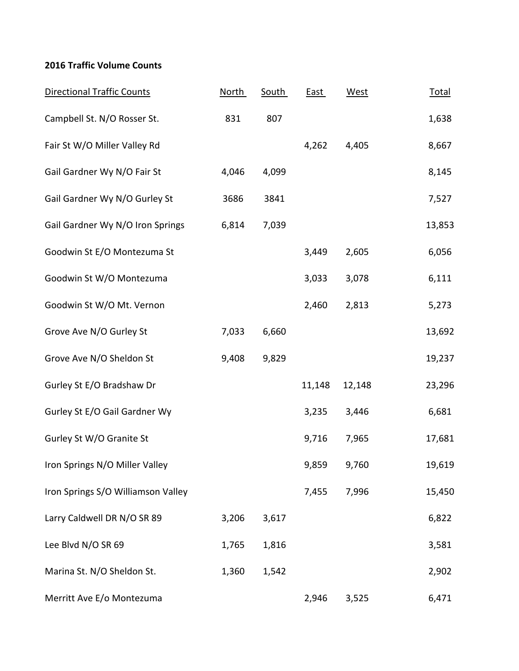## **2016 Traffic Volume Counts**

| <b>Directional Traffic Counts</b>  | <b>North</b> | <b>South</b> | <b>East</b> | <b>West</b> | <u>Total</u> |
|------------------------------------|--------------|--------------|-------------|-------------|--------------|
| Campbell St. N/O Rosser St.        | 831          | 807          |             |             | 1,638        |
| Fair St W/O Miller Valley Rd       |              |              | 4,262       | 4,405       | 8,667        |
| Gail Gardner Wy N/O Fair St        | 4,046        | 4,099        |             |             | 8,145        |
| Gail Gardner Wy N/O Gurley St      | 3686         | 3841         |             |             | 7,527        |
| Gail Gardner Wy N/O Iron Springs   | 6,814        | 7,039        |             |             | 13,853       |
| Goodwin St E/O Montezuma St        |              |              | 3,449       | 2,605       | 6,056        |
| Goodwin St W/O Montezuma           |              |              | 3,033       | 3,078       | 6,111        |
| Goodwin St W/O Mt. Vernon          |              |              | 2,460       | 2,813       | 5,273        |
| Grove Ave N/O Gurley St            | 7,033        | 6,660        |             |             | 13,692       |
| Grove Ave N/O Sheldon St           | 9,408        | 9,829        |             |             | 19,237       |
| Gurley St E/O Bradshaw Dr          |              |              | 11,148      | 12,148      | 23,296       |
| Gurley St E/O Gail Gardner Wy      |              |              | 3,235       | 3,446       | 6,681        |
| Gurley St W/O Granite St           |              |              | 9,716       | 7,965       | 17,681       |
| Iron Springs N/O Miller Valley     |              |              | 9,859       | 9,760       | 19,619       |
| Iron Springs S/O Williamson Valley |              |              | 7,455       | 7,996       | 15,450       |
| Larry Caldwell DR N/O SR 89        | 3,206        | 3,617        |             |             | 6,822        |
| Lee Blvd N/O SR 69                 | 1,765        | 1,816        |             |             | 3,581        |
| Marina St. N/O Sheldon St.         | 1,360        | 1,542        |             |             | 2,902        |
| Merritt Ave E/o Montezuma          |              |              | 2,946       | 3,525       | 6,471        |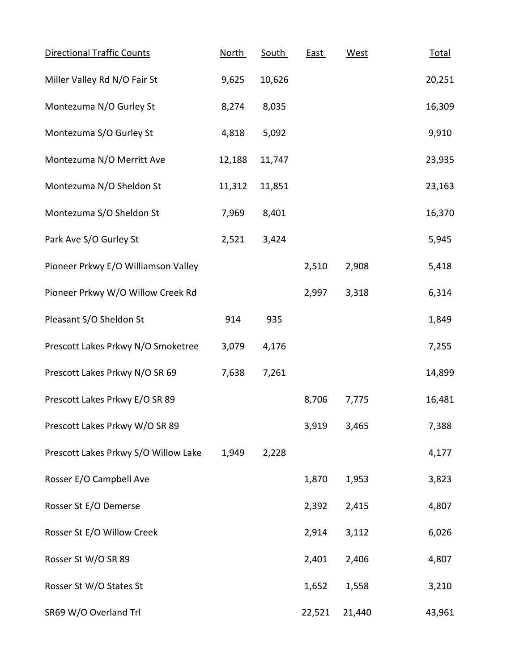| Directional Traffic Counts           | North  | South  | <b>East</b> | West   | <b>Total</b> |
|--------------------------------------|--------|--------|-------------|--------|--------------|
| Miller Valley Rd N/O Fair St         | 9,625  | 10,626 |             |        | 20,251       |
| Montezuma N/O Gurley St              | 8,274  | 8,035  |             |        | 16,309       |
| Montezuma S/O Gurley St              | 4,818  | 5,092  |             |        | 9,910        |
| Montezuma N/O Merritt Ave            | 12,188 | 11,747 |             |        | 23,935       |
| Montezuma N/O Sheldon St             | 11,312 | 11,851 |             |        | 23,163       |
| Montezuma S/O Sheldon St             | 7,969  | 8,401  |             |        | 16,370       |
| Park Ave S/O Gurley St               | 2,521  | 3,424  |             |        | 5,945        |
| Pioneer Prkwy E/O Williamson Valley  |        |        | 2,510       | 2,908  | 5,418        |
| Pioneer Prkwy W/O Willow Creek Rd    |        |        | 2,997       | 3,318  | 6,314        |
| Pleasant S/O Sheldon St              | 914    | 935    |             |        | 1,849        |
| Prescott Lakes Prkwy N/O Smoketree   | 3,079  | 4,176  |             |        | 7,255        |
| Prescott Lakes Prkwy N/O SR 69       | 7,638  | 7,261  |             |        | 14,899       |
| Prescott Lakes Prkwy E/O SR 89       |        |        | 8,706       | 7,775  | 16,481       |
| Prescott Lakes Prkwy W/O SR 89       |        |        | 3,919       | 3,465  | 7,388        |
| Prescott Lakes Prkwy S/O Willow Lake | 1,949  | 2,228  |             |        | 4,177        |
| Rosser E/O Campbell Ave              |        |        | 1,870       | 1,953  | 3,823        |
| Rosser St E/O Demerse                |        |        | 2,392       | 2,415  | 4,807        |
| Rosser St E/O Willow Creek           |        |        | 2,914       | 3,112  | 6,026        |
| Rosser St W/O SR 89                  |        |        | 2,401       | 2,406  | 4,807        |
| Rosser St W/O States St              |        |        | 1,652       | 1,558  | 3,210        |
| SR69 W/O Overland Trl                |        |        | 22,521      | 21,440 | 43,961       |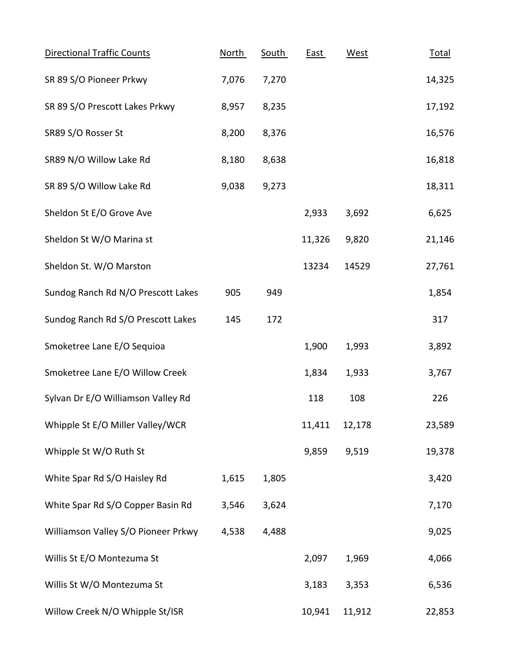| <b>Directional Traffic Counts</b>   | <b>North</b> | South | <b>East</b> | <b>West</b> | <b>Total</b> |
|-------------------------------------|--------------|-------|-------------|-------------|--------------|
| SR 89 S/O Pioneer Prkwy             | 7,076        | 7,270 |             |             | 14,325       |
| SR 89 S/O Prescott Lakes Prkwy      | 8,957        | 8,235 |             |             | 17,192       |
| SR89 S/O Rosser St                  | 8,200        | 8,376 |             |             | 16,576       |
| SR89 N/O Willow Lake Rd             | 8,180        | 8,638 |             |             | 16,818       |
| SR 89 S/O Willow Lake Rd            | 9,038        | 9,273 |             |             | 18,311       |
| Sheldon St E/O Grove Ave            |              |       | 2,933       | 3,692       | 6,625        |
| Sheldon St W/O Marina st            |              |       | 11,326      | 9,820       | 21,146       |
| Sheldon St. W/O Marston             |              |       | 13234       | 14529       | 27,761       |
| Sundog Ranch Rd N/O Prescott Lakes  | 905          | 949   |             |             | 1,854        |
| Sundog Ranch Rd S/O Prescott Lakes  | 145          | 172   |             |             | 317          |
| Smoketree Lane E/O Sequioa          |              |       | 1,900       | 1,993       | 3,892        |
| Smoketree Lane E/O Willow Creek     |              |       | 1,834       | 1,933       | 3,767        |
| Sylvan Dr E/O Williamson Valley Rd  |              |       | 118         | 108         | 226          |
| Whipple St E/O Miller Valley/WCR    |              |       | 11,411      | 12,178      | 23,589       |
| Whipple St W/O Ruth St              |              |       | 9,859       | 9,519       | 19,378       |
| White Spar Rd S/O Haisley Rd        | 1,615        | 1,805 |             |             | 3,420        |
| White Spar Rd S/O Copper Basin Rd   | 3,546        | 3,624 |             |             | 7,170        |
| Williamson Valley S/O Pioneer Prkwy | 4,538        | 4,488 |             |             | 9,025        |
| Willis St E/O Montezuma St          |              |       | 2,097       | 1,969       | 4,066        |
| Willis St W/O Montezuma St          |              |       | 3,183       | 3,353       | 6,536        |
| Willow Creek N/O Whipple St/ISR     |              |       | 10,941      | 11,912      | 22,853       |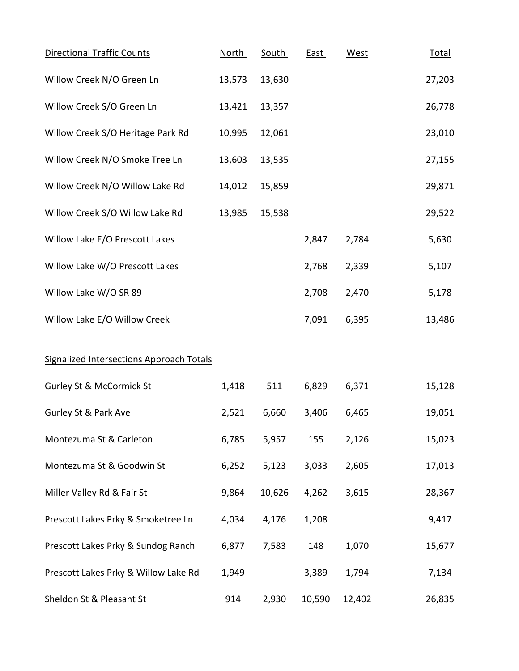| Directional Traffic Counts                      | <b>North</b> | South  | <b>East</b> | West   | <b>Total</b> |
|-------------------------------------------------|--------------|--------|-------------|--------|--------------|
| Willow Creek N/O Green Ln                       | 13,573       | 13,630 |             |        | 27,203       |
| Willow Creek S/O Green Ln                       | 13,421       | 13,357 |             |        | 26,778       |
| Willow Creek S/O Heritage Park Rd               | 10,995       | 12,061 |             |        | 23,010       |
| Willow Creek N/O Smoke Tree Ln                  | 13,603       | 13,535 |             |        | 27,155       |
| Willow Creek N/O Willow Lake Rd                 | 14,012       | 15,859 |             |        | 29,871       |
| Willow Creek S/O Willow Lake Rd                 | 13,985       | 15,538 |             |        | 29,522       |
| Willow Lake E/O Prescott Lakes                  |              |        | 2,847       | 2,784  | 5,630        |
| Willow Lake W/O Prescott Lakes                  |              |        | 2,768       | 2,339  | 5,107        |
| Willow Lake W/O SR 89                           |              |        | 2,708       | 2,470  | 5,178        |
| Willow Lake E/O Willow Creek                    |              |        | 7,091       | 6,395  | 13,486       |
| <b>Signalized Intersections Approach Totals</b> |              |        |             |        |              |
| <b>Gurley St &amp; McCormick St</b>             | 1,418        | 511    | 6,829       | 6,371  | 15,128       |
| Gurley St & Park Ave                            | 2,521        | 6,660  | 3,406       | 6,465  | 19,051       |
| Montezuma St & Carleton                         | 6,785        | 5,957  | 155         | 2,126  | 15,023       |
| Montezuma St & Goodwin St                       | 6,252        | 5,123  | 3,033       | 2,605  | 17,013       |
| Miller Valley Rd & Fair St                      | 9,864        | 10,626 | 4,262       | 3,615  | 28,367       |
| Prescott Lakes Prky & Smoketree Ln              | 4,034        | 4,176  | 1,208       |        | 9,417        |
| Prescott Lakes Prky & Sundog Ranch              | 6,877        | 7,583  | 148         | 1,070  | 15,677       |
| Prescott Lakes Prky & Willow Lake Rd            | 1,949        |        | 3,389       | 1,794  | 7,134        |
| Sheldon St & Pleasant St                        | 914          | 2,930  | 10,590      | 12,402 | 26,835       |